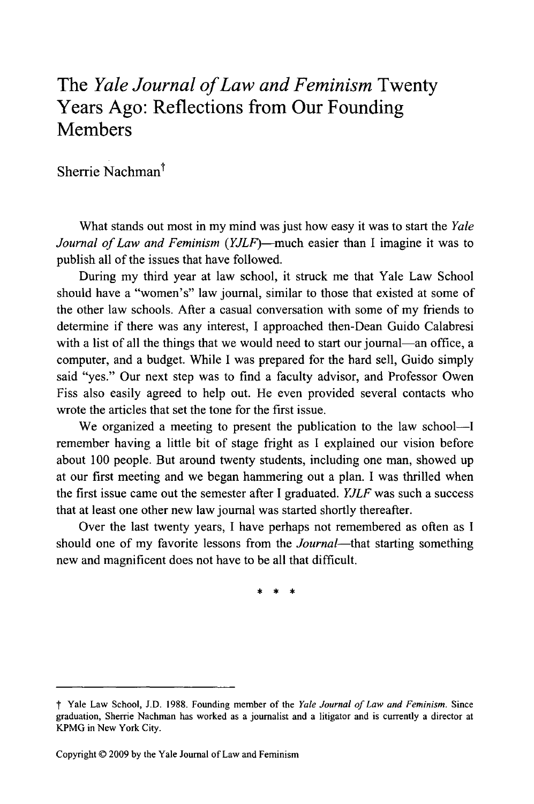## The *Yale Journal of Law and Feminism* Twenty Years Ago: Reflections from Our Founding **Members**

Sherrie Nachman<sup>†</sup>

What stands out most in my mind was just how easy it was to start the *Yale Journal of Law and Feminism* (YJLF)-much easier than I imagine it was to publish all of the issues that have followed.

During my third year at law school, it struck me that Yale Law School should have a "women's" law journal, similar to those that existed at some of the other law schools. After a casual conversation with some of my friends to determine if there was any interest, I approached then-Dean Guido Calabresi with a list of all the things that we would need to start our journal—an office, a computer, and a budget. While I was prepared for the hard sell, Guido simply said "yes." Our next step was to find a faculty advisor, and Professor Owen Fiss also easily agreed to help out. He even provided several contacts who wrote the articles that set the tone for the first issue.

We organized a meeting to present the publication to the law school-I remember having a little bit of stage fright as I explained our vision before about 100 people. But around twenty students, including one man, showed up at our first meeting and we began hammering out a plan. I was thrilled when the first issue came out the semester after I graduated. *YJLF* was such a success that at least one other new law journal was started shortly thereafter.

Over the last twenty years, I have perhaps not remembered as often as I should one of my favorite lessons from the *Journal-that* starting something new and magnificent does not have to be all that difficult.

*t* Yale Law School, **J.D. 1988.** Founding member of the *Yale Journal of Law and Feminism.* Since graduation, Sherrie Nachman has worked as a journalist and a litigator and is currently a director at KPMG in New York City.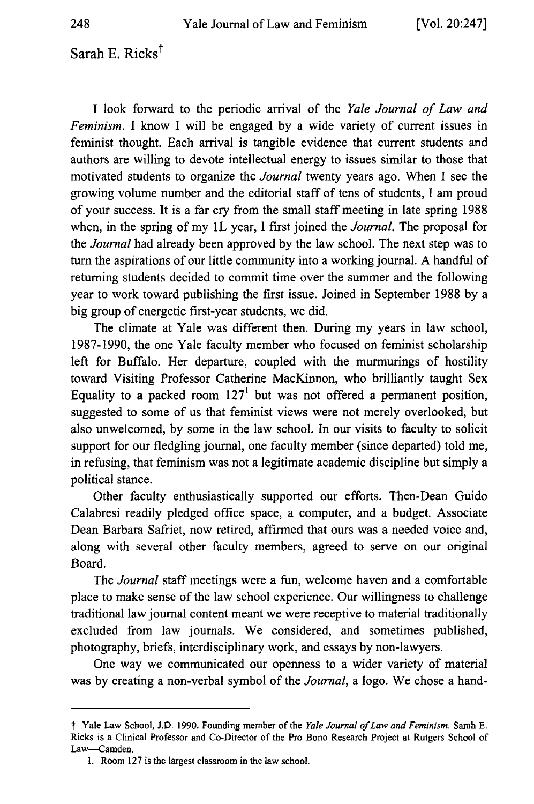Sarah E. Ricks $<sup>†</sup>$ </sup>

I look forward to the periodic arrival of the *Yale Journal of Law and Feminism.* I know I will be engaged by a wide variety of current issues in feminist thought. Each arrival is tangible evidence that current students and authors are willing to devote intellectual energy to issues similar to those that motivated students to organize the *Journal* twenty years ago. When I see the growing volume number and the editorial staff of tens of students, I am proud of your success. It is a far cry from the small staff meeting in late spring 1988 when, in the spring of my 1L year, I first joined the *Journal*. The proposal for the *Journal* had already been approved by the law school. The next step was to turn the aspirations of our little community into a working journal. A handful of returning students decided to commit time over the summer and the following year to work toward publishing the first issue. Joined in September 1988 by a big group of energetic first-year students, we did.

The climate at Yale was different then. During my years in law school, 1987-1990, the one Yale faculty member who focused on feminist scholarship left for Buffalo. Her departure, coupled with the murmurings of hostility toward Visiting Professor Catherine MacKinnon, who brilliantly taught Sex Equality to a packed room  $127<sup>1</sup>$  but was not offered a permanent position, suggested to some of us that feminist views were not merely overlooked, but also unwelcomed, by some in the law school. In our visits to faculty to solicit support for our fledgling journal, one faculty member (since departed) told me, in refusing, that feminism was not a legitimate academic discipline but simply a political stance.

Other faculty enthusiastically supported our efforts. Then-Dean Guido Calabresi readily pledged office space, a computer, and a budget. Associate Dean Barbara Safriet, now retired, affirmed that ours was a needed voice and, along with several other faculty members, agreed to serve on our original Board.

The *Journal* staff meetings were a fun, welcome haven and a comfortable place to make sense of the law school experience. Our willingness to challenge traditional law journal content meant we were receptive to material traditionally excluded from law journals. We considered, and sometimes published, photography, briefs, interdisciplinary work, and essays by non-lawyers.

One way we communicated our openness to a wider variety of material was by creating a non-verbal symbol of the *Journal,* a logo. We chose a hand-

t Yale Law School, **J.D. 1990.** Founding member of the *Yale Journal of Law and Feminism.* Sarah **E.** Ricks is a Clinical Professor and Co-Director of the Pro Bono Research Project at Rutgers School of Law-Camden.

**<sup>1.</sup>** Room **127** is the largest classroom in the law school.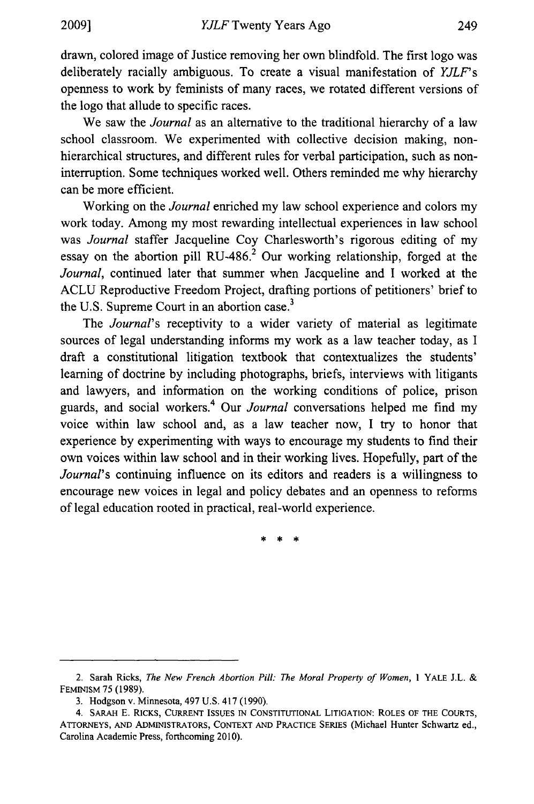drawn, colored image of Justice removing her own blindfold. The first logo was deliberately racially ambiguous. To create a visual manifestation of *YJLF's* openness to work by feminists of many races, we rotated different versions of the logo that allude to specific races.

We saw the *Journal* as an alternative to the traditional hierarchy of a law school classroom. We experimented with collective decision making, nonhierarchical structures, and different rules for verbal participation, such as noninterruption. Some techniques worked well. Others reminded me why hierarchy can be more efficient.

Working on the *Journal* enriched my law school experience and colors my work today. Among my most rewarding intellectual experiences in law school was *Journal* staffer Jacqueline Coy Charlesworth's rigorous editing of my essay on the abortion pill RU-486.<sup>2</sup> Our working relationship, forged at the *Journal,* continued later that summer when Jacqueline and I worked at the ACLU Reproductive Freedom Project, drafting portions of petitioners' brief to the U.S. Supreme Court in an abortion case.<sup>3</sup>

The *Journal's* receptivity to a wider variety of material as legitimate sources of legal understanding informs my work as a law teacher today, as I draft a constitutional litigation textbook that contextualizes the students' learning of doctrine by including photographs, briefs, interviews with litigants and lawyers, and information on the working conditions of police, prison guards, and social workers. 4 Our *Journal* conversations helped me find my voice within law school and, as a law teacher now, I try to honor that experience by experimenting with ways to encourage my students to find their own voices within law school and in their working lives. Hopefully, part of the *Journal's* continuing influence on its editors and readers is a willingness to encourage new voices in legal and policy debates and an openness to reforms of legal education rooted in practical, real-world experience.

<sup>2.</sup> Sarah Ricks, *The New French Abortion Pill: The Moral Property of Women,* 1 YALE J.L. & FEMINISM 75 (1989).

<sup>3.</sup> Hodgson v. Minnesota, 497 U.S. 417 (1990).

<sup>4.</sup> SARAH E. RICKS, CURRENT ISSUES **IN CONSTITUTIONAL** LITIGATION: ROLES OF THE **COURTS,** ATTORNEYS, AND ADMINISTRATORS, CONTEXT AND PRACTICE SERIES (Michael Hunter Schwartz ed., Carolina Academic Press, forthcoming 2010).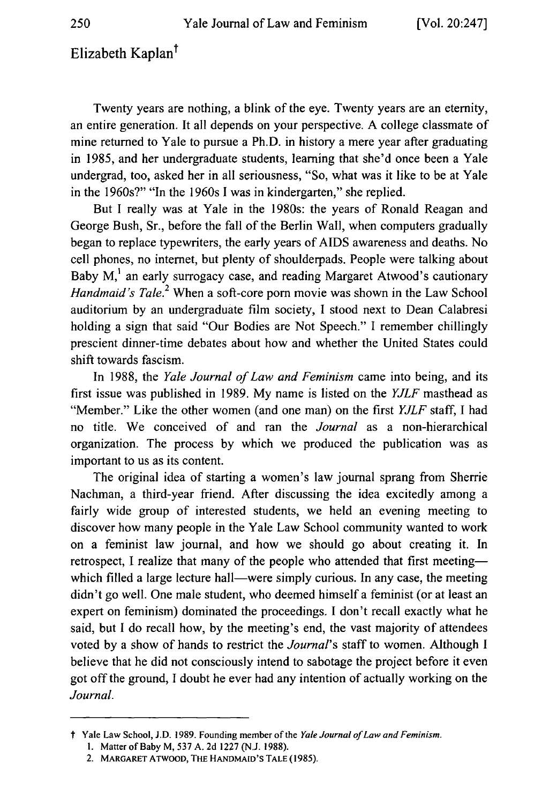## Elizabeth Kaplan<sup>†</sup>

Twenty years are nothing, a blink of the eye. Twenty years are an eternity, an entire generation. It all depends on your perspective. A college classmate of mine returned to Yale to pursue a Ph.D. in history a mere year after graduating in 1985, and her undergraduate students, learning that she'd once been a Yale undergrad, too, asked her in all seriousness, "So, what was it like to be at Yale in the 1960s?" "In the 1960s I was in kindergarten," she replied.

But I really was at Yale in the 1980s: the years of Ronald Reagan and George Bush, Sr., before the fall of the Berlin Wall, when computers gradually began to replace typewriters, the early years of AIDS awareness and deaths. No cell phones, no internet, but plenty of shoulderpads. People were talking about Baby  $M<sub>1</sub><sup>1</sup>$  an early surrogacy case, and reading Margaret Atwood's cautionary *Handmaid's Tale.*<sup>2</sup> When a soft-core porn movie was shown in the Law School auditorium by an undergraduate film society, I stood next to Dean Calabresi holding a sign that said "Our Bodies are Not Speech." I remember chillingly prescient dinner-time debates about how and whether the United States could shift towards fascism.

In 1988, the *Yale Journal of Law and Feminism* came into being, and its first issue was published in 1989. My name is listed on the *YJLF* masthead as "Member." Like the other women (and one man) on the first *YJLF* staff, I had no title. We conceived of and ran the *Journal* as a non-hierarchical organization. The process by which we produced the publication was as important to us as its content.

The original idea of starting a women's law journal sprang from Sherrie Nachman, a third-year friend. After discussing the idea excitedly among a fairly wide group of interested students, we held an evening meeting to discover how many people in the Yale Law School community wanted to work on a feminist law journal, and how we should go about creating it. In retrospect, I realize that many of the people who attended that first meeting which filled a large lecture hall—were simply curious. In any case, the meeting didn't go well. One male student, who deemed himself a feminist (or at least an expert on feminism) dominated the proceedings. I don't recall exactly what he said, but I do recall how, by the meeting's end, the vast majority of attendees voted by a show of hands to restrict the *Journal's* staff to women. Although I believe that he did not consciously intend to sabotage the project before it even got off the ground, I doubt he ever had any intention of actually working on the *Journal.*

t Yale Law School, **J.D. 1989.** Founding member of the *Yale Journal of Law and Feminism.*

**<sup>1.</sup>** Matter of Baby M, **537 A. 2d 1227 (N.J. 1988).**

<sup>2.</sup> MARGARET ATWOOD, **THE** HANDMAID'S **TALE** (1985).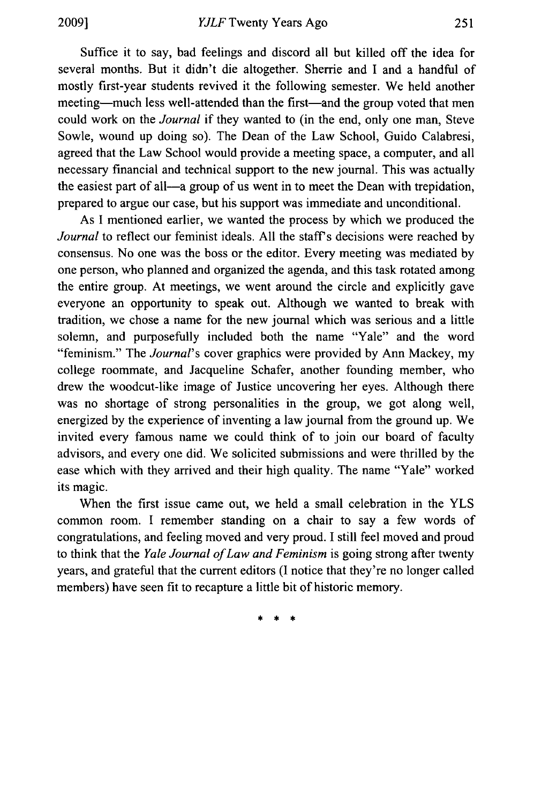Suffice it to say, bad feelings and discord all but killed off the idea for several months. But it didn't die altogether. Sherrie and I and a handful of mostly first-year students revived it the following semester. We held another meeting—much less well-attended than the first—and the group voted that men could work on the *Journal* if they wanted to (in the end, only one man, Steve Sowle, wound up doing so). The Dean of the Law School, Guido Calabresi, agreed that the Law School would provide a meeting space, a computer, and all necessary financial and technical support to the new journal. This was actually the easiest part of all—a group of us went in to meet the Dean with trepidation, prepared to argue our case, but his support was immediate and unconditional.

As I mentioned earlier, we wanted the process by which we produced the *Journal* to reflect our feminist ideals. All the staff's decisions were reached by consensus. No one was the boss or the editor. Every meeting was mediated by one person, who planned and organized the agenda, and this task rotated among the entire group. At meetings, we went around the circle and explicitly gave everyone an opportunity to speak out. Although we wanted to break with tradition, we chose a name for the new journal which was serious and a little solemn, and purposefully included both the name "Yale" and the word "feminism." The *Journal's* cover graphics were provided by Ann Mackey, my college roommate, and Jacqueline Schafer, another founding member, who drew the woodcut-like image of Justice uncovering her eyes. Although there was no shortage of strong personalities in the group, we got along well, energized by the experience of inventing a law journal from the ground up. We invited every famous name we could think of to join our board of faculty advisors, and every one did. We solicited submissions and were thrilled by the ease which with they arrived and their high quality. The name "Yale" worked its magic.

When the first issue came out, we held a small celebration in the YLS common room. I remember standing on a chair to say a few words of congratulations, and feeling moved and very proud. I still feel moved and proud to think that the *Yale Journal of Law and Feminism* is going strong after twenty years, and grateful that the current editors (I notice that they're no longer called members) have seen fit to recapture a little bit of historic memory.

 $\rightarrow$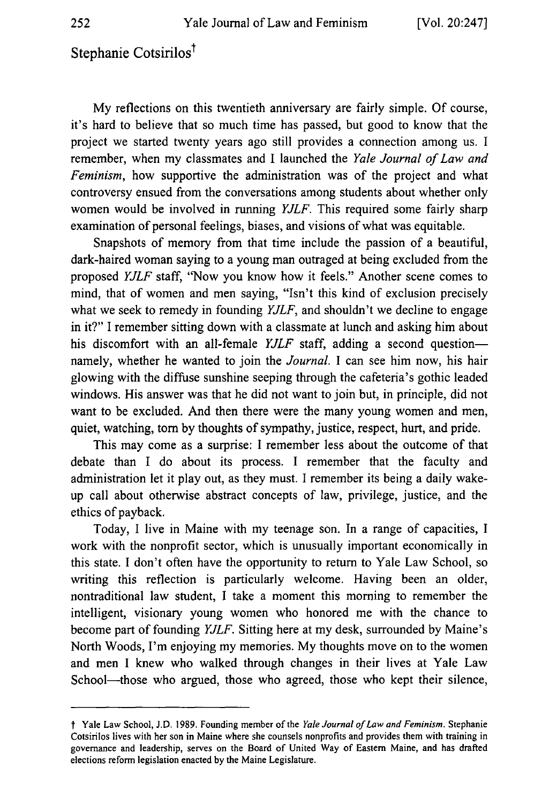## Stephanie Cotsirilos<sup>†</sup>

My reflections on this twentieth anniversary are fairly simple. Of course, it's hard to believe that so much time has passed, but good to know that the project we started twenty years ago still provides a connection among us. I remember, when my classmates and I launched the *Yale Journal of Law and Feminism,* how supportive the administration was of the project and what controversy ensued from the conversations among students about whether only women would be involved in running *YJLF.* This required some fairly sharp examination of personal feelings, biases, and visions of what was equitable.

Snapshots of memory from that time include the passion of a beautiful, dark-haired woman saying to a young man outraged at being excluded from the proposed *YJLF* staff, "Now you know how it feels." Another scene comes to mind, that of women and men saying, "Isn't this kind of exclusion precisely what we seek to remedy in founding *YJLF,* and shouldn't we decline to engage in it?" I remember sitting down with a classmate at lunch and asking him about his discomfort with an all-female *YJLF* staff, adding a second questionnamely, whether he wanted to join the *Journal.* I can see him now, his hair glowing with the diffuse sunshine seeping through the cafeteria's gothic leaded windows. His answer was that he did not want to join but, in principle, did not want to be excluded. And then there were the many young women and men, quiet, watching, tom by thoughts of sympathy, justice, respect, hurt, and pride.

This may come as a surprise: I remember less about the outcome of that debate than I do about its process. I remember that the faculty and administration let it play out, as they must. I remember its being a daily wakeup call about otherwise abstract concepts of law, privilege, justice, and the ethics of payback.

Today, I live in Maine with my teenage son. In a range of capacities, I work with the nonprofit sector, which is unusually important economically in this state. I don't often have the opportunity to return to Yale Law School, so writing this reflection is particularly welcome. Having been an older, nontraditional law student, I take a moment this morning to remember the intelligent, visionary young women who honored me with the chance to become part of founding *YJLF.* Sitting here at my desk, surrounded by Maine's North Woods, I'm enjoying my memories. My thoughts move on to the women and men I knew who walked through changes in their lives at Yale Law School-those who argued, those who agreed, those who kept their silence,

t Yale Law School, **J.D. 1989.** Founding member of the *Yale Journal of Law and Feminism.* Stephanie Cotsirilos lives with her son in Maine where she counsels nonprofits and provides them with training in governance and leadership, serves on the Board of United Way of Eastern Maine, and has drafted elections reform legislation enacted **by** the Maine Legislature.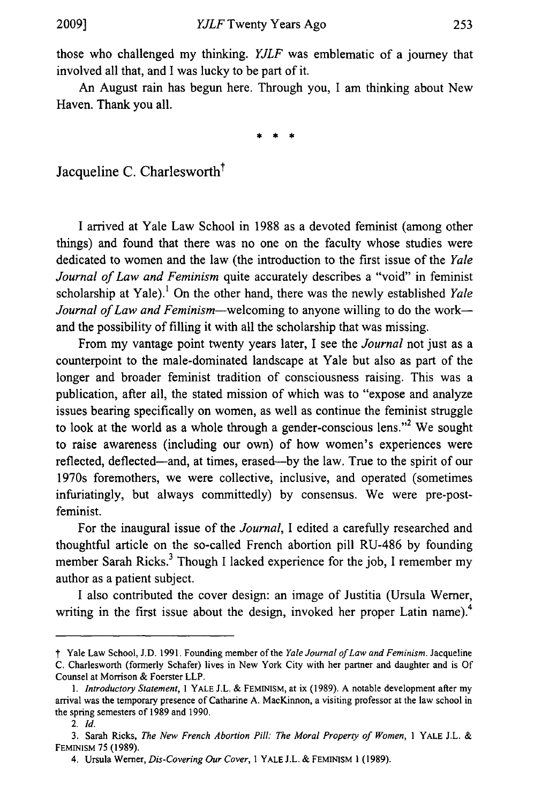those who challenged my thinking. *YJLF* was emblematic of a journey that involved all that, and I was lucky to be part of it.

An August rain has begun here. Through you, I am thinking about New Haven. Thank you all.

\* \* \*

Jacqueline C. Charlesworth<sup>†</sup>

I arrived at Yale Law School in 1988 as a devoted feminist (among other things) and found that there was no one on the faculty whose studies were dedicated to women and the law (the introduction to the first issue of the *Yale Journal of Law and Feminism* quite accurately describes a "void" in feminist scholarship at Yale).' On the other hand, there was the newly established *Yale Journal of Law and Feminism*—welcoming to anyone willing to do the work and the possibility of filling it with all the scholarship that was missing.

From my vantage point twenty years later, I see the *Journal* not just as a counterpoint to the male-dominated landscape at Yale but also as part of the longer and broader feminist tradition of consciousness raising. This was a publication, after all, the stated mission of which was to "expose and analyze issues bearing specifically on women, as well as continue the feminist struggle to look at the world as a whole through a gender-conscious lens."<sup>2</sup> We sought to raise awareness (including our own) of how women's experiences were reflected, deflected-and, at times, erased-by the law. True to the spirit of our 1970s foremothers, we were collective, inclusive, and operated (sometimes infuriatingly, but always committedly) by consensus. We were pre-postfeminist.

For the inaugural issue of the *Journal,* I edited a carefully researched and thoughtful article on the so-called French abortion pill RU-486 by founding member Sarah Ricks. $3$  Though I lacked experience for the job, I remember my author as a patient subject.

I also contributed the cover design: an image of Justitia (Ursula Werner, writing in the first issue about the design, invoked her proper Latin name).<sup>4</sup>

*t* Yale Law School, J.D. 1991. Founding member of the *Yale Journal of Law and Feminism.* Jacqueline C. Charlesworth (formerly Schafer) lives in New York City with her partner and daughter and is Of Counsel at Morrison & Foerster LLP.

*<sup>1.</sup> Introductory Statement, I* YALE J.L. & FEMINISM, at ix (1989). A notable development after my arrival was the temporary presence of Catharine A. MacKinnon, a visiting professor at the law school in the spring semesters of 1989 and 1990,

<sup>2.</sup> *Id.*

<sup>3.</sup> Sarah Ricks, *The New French Abortion Pill: The Moral Property of Women,* **I** YALE J.L. & FEMINISM 75 (1989).

<sup>4.</sup> Ursula Werner, *Dis-Covering Our Cover,* 1 YALE **J.L.** & FEMINISM 1 (1989).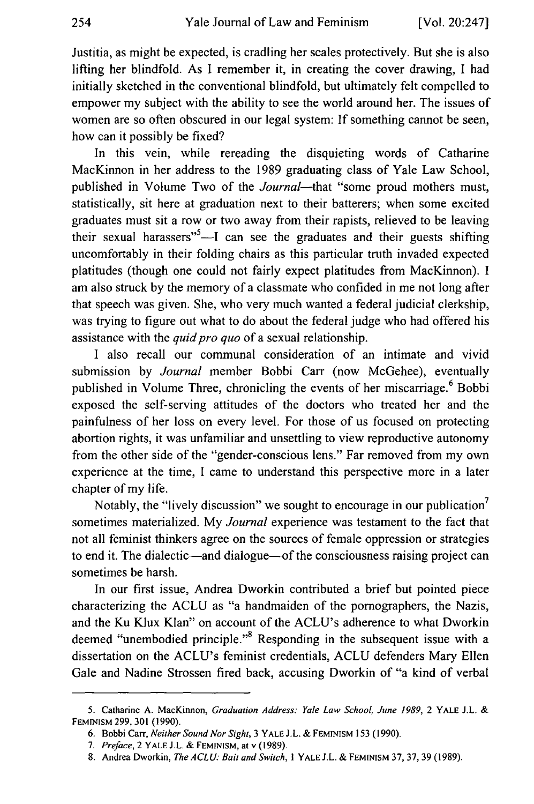Justitia, as might be expected, is cradling her scales protectively. But she is also lifting her blindfold. As I remember it, in creating the cover drawing, I had initially sketched in the conventional blindfold, but ultimately felt compelled to empower my subject with the ability to see the world around her. The issues of women are so often obscured in our legal system: If something cannot be seen, how can it possibly be fixed?

In this vein, while rereading the disquieting words of Catharine MacKinnon in her address to the 1989 graduating class of Yale Law School, published in Volume Two of the *Journal*—that "some proud mothers must, statistically, sit here at graduation next to their batterers; when some excited graduates must sit a row or two away from their rapists, relieved to be leaving their sexual harassers<sup>"5</sup>—I can see the graduates and their guests shifting uncomfortably in their folding chairs as this particular truth invaded expected platitudes (though one could not fairly expect platitudes from MacKinnon). I am also struck by the memory of a classmate who confided in me not long after that speech was given. She, who very much wanted a federal judicial clerkship, was trying to figure out what to do about the federal judge who had offered his assistance with the *quid pro quo* of a sexual relationship.

I also recall our communal consideration of an intimate and vivid submission by *Journal* member Bobbi Carr (now McGehee), eventually published in Volume Three, chronicling the events of her miscarriage.<sup>6</sup> Bobbi exposed the self-serving attitudes of the doctors who treated her and the painfulness of her loss on every level. For those of us focused on protecting abortion rights, it was unfamiliar and unsettling to view reproductive autonomy from the other side of the "gender-conscious lens." Far removed from my own experience at the time, I came to understand this perspective more in a later chapter of my life.

Notably, the "lively discussion" we sought to encourage in our publication<sup>7</sup> sometimes materialized. My *Journal* experience was testament to the fact that not all feminist thinkers agree on the sources of female oppression or strategies to end it. The dialectic—and dialogue—of the consciousness raising project can sometimes be harsh.

In our first issue, Andrea Dworkin contributed a brief but pointed piece characterizing the ACLU as "a handmaiden of the pornographers, the Nazis, and the Ku Klux Klan" on account of the ACLU's adherence to what Dworkin deemed "unembodied principle."<sup>8</sup> Responding in the subsequent issue with a dissertation on the ACLU's feminist credentials, ACLU defenders Mary Ellen Gale and Nadine Strossen fired back, accusing Dworkin of "a kind of verbal

**<sup>5.</sup>** Catharine **A.** MacKinnon, Graduation Address: Yale **Law** School, June **1989,** 2 YALE **J.L. &** FEMINISM **299, 301 (1990).**

**<sup>6.</sup>** Bobbi **Carr,** Neither Sound Nor Sight, **3** YALE **J.L. &** FEMINISM **153 (1990).**

*<sup>7.</sup>* Preface, 2 YALE **J.L. &** FEMINISM, at v **(1989).**

**<sup>8.</sup>** Andrea Dworkin, The **ACLU:** Bait and Switch, *I* YALE **J.L. &** FEMINISM **37, 37, 39 (1989).**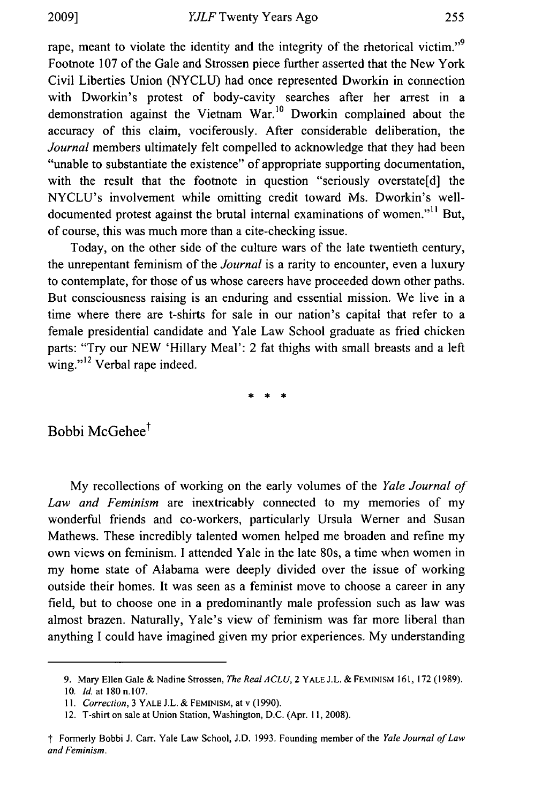rape, meant to violate the identity and the integrity of the rhetorical victim."<sup>9</sup> Footnote 107 of the Gale and Strossen piece further asserted that the New York Civil Liberties Union (NYCLU) had once represented Dworkin in connection with Dworkin's protest of body-cavity searches after her arrest in a demonstration against the Vietnam War.<sup>10</sup> Dworkin complained about the accuracy of this claim, vociferously. After considerable deliberation, the *Journal* members ultimately felt compelled to acknowledge that they had been "unable to substantiate the existence" of appropriate supporting documentation, with the result that the footnote in question "seriously overstate[d] the NYCLU's involvement while omitting credit toward Ms. Dworkin's welldocumented protest against the brutal internal examinations of women."<sup>11</sup> But, of course, this was much more than a cite-checking issue.

Today, on the other side of the culture wars of the late twentieth century, the unrepentant feminism of the *Journal* is a rarity to encounter, even a luxury to contemplate, for those of us whose careers have proceeded down other paths. But consciousness raising is an enduring and essential mission. We live in a time where there are t-shirts for sale in our nation's capital that refer to a female presidential candidate and Yale Law School graduate as fried chicken parts: "Try our NEW 'Hillary Meal': 2 fat thighs with small breasts and a left wing."<sup>12</sup> Verbal rape indeed.

**\*€** \*\*

Bobbi McGehee<sup>†</sup>

My recollections of working on the early volumes of the *Yale Journal of Law and Feminism* are inextricably connected to my memories of my wonderful friends and co-workers, particularly Ursula Werner and Susan Mathews. These incredibly talented women helped me broaden and refine my own views on feminism. I attended Yale in the late 80s, a time when women in my home state of Alabama were deeply divided over the issue of working outside their homes. It was seen as a feminist move to choose a career in any field, but to choose one in a predominantly male profession such as law was almost brazen. Naturally, Yale's view of feminism was far more liberal than anything I could have imagined given my prior experiences. My understanding

<sup>9.</sup> Mary Ellen Gale **&** Nadine Strossen, *The Real ACLU,* 2 YALE **J.L. & FEMINISM 161,** 172 (1989).

**<sup>10.</sup>** *Id.* at **180 n.107.**

*I1. Correction,* 3 YALE J.L. & FEMINISM, at v (1990).

<sup>12.</sup> T-shirt on sale at Union Station, Washington, D.C. (Apr. 11, 2008).

*f* Formerly Bobbi J. Carr. Yale Law School, J.D. 1993. Founding member of the *Yale Journal of Law and Feminism.*